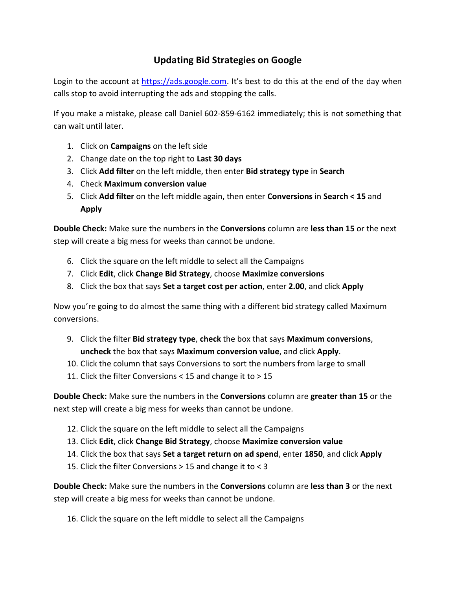## Updating Bid Strategies on Google

Login to the account at https://ads.google.com. It's best to do this at the end of the day when calls stop to avoid interrupting the ads and stopping the calls.

If you make a mistake, please call Daniel 602-859-6162 immediately; this is not something that can wait until later.

- 1. Click on **Campaigns** on the left side
- 2. Change date on the top right to Last 30 days
- 3. Click Add filter on the left middle, then enter Bid strategy type in Search
- 4. Check Maximum conversion value
- 5. Click Add filter on the left middle again, then enter Conversions in Search < 15 and Apply

Double Check: Make sure the numbers in the Conversions column are less than 15 or the next step will create a big mess for weeks than cannot be undone.

- 6. Click the square on the left middle to select all the Campaigns
- 7. Click Edit, click Change Bid Strategy, choose Maximize conversions
- 8. Click the box that says **Set a target cost per action**, enter 2.00, and click Apply

Now you're going to do almost the same thing with a different bid strategy called Maximum conversions.

- 9. Click the filter Bid strategy type, check the box that says Maximum conversions, uncheck the box that says Maximum conversion value, and click Apply.
- 10. Click the column that says Conversions to sort the numbers from large to small
- 11. Click the filter Conversions < 15 and change it to > 15

Double Check: Make sure the numbers in the Conversions column are greater than 15 or the next step will create a big mess for weeks than cannot be undone.

- 12. Click the square on the left middle to select all the Campaigns
- 13. Click Edit, click Change Bid Strategy, choose Maximize conversion value
- 14. Click the box that says Set a target return on ad spend, enter 1850, and click Apply
- 15. Click the filter Conversions > 15 and change it to < 3

Double Check: Make sure the numbers in the Conversions column are less than 3 or the next step will create a big mess for weeks than cannot be undone.

16. Click the square on the left middle to select all the Campaigns